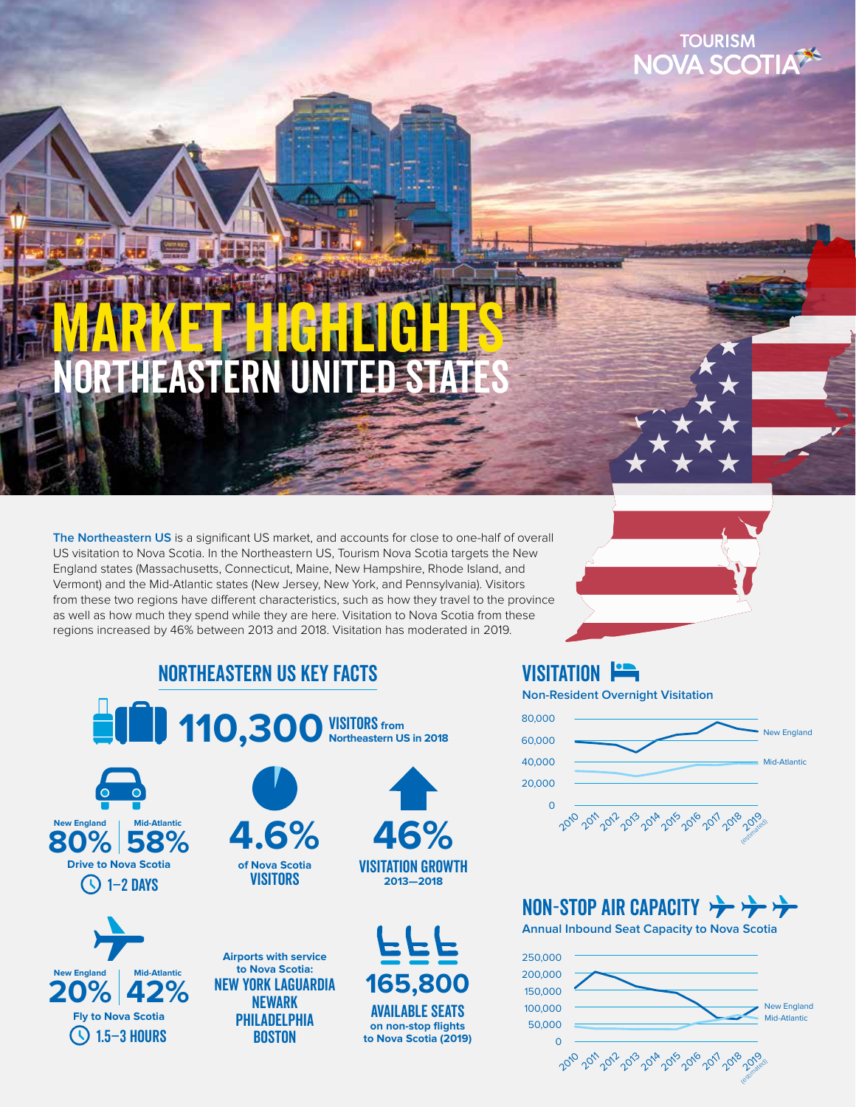## **TOURISM JA SCOTI**

## RTHEASTERN UNITED S MARKET JGHLIGHTS

**The Northeastern US** is a significant US market, and accounts for close to one-half of overall US visitation to Nova Scotia. In the Northeastern US, Tourism Nova Scotia targets the New England states (Massachusetts, Connecticut, Maine, New Hampshire, Rhode Island, and Vermont) and the Mid-Atlantic states (New Jersey, New York, and Pennsylvania). Visitors from these two regions have different characteristics, such as how they travel to the province as well as how much they spend while they are here. Visitation to Nova Scotia from these regions increased by 46% between 2013 and 2018. Visitation has moderated in 2019.

## Northeastern US Key Facts





### VISITATION **Fig.**

**Non-Resident Overnight Visitation**



## NON-STOP AIR CAPACITY  $\rightarrow$

**Annual Inbound Seat Capacity to Nova Scotia**

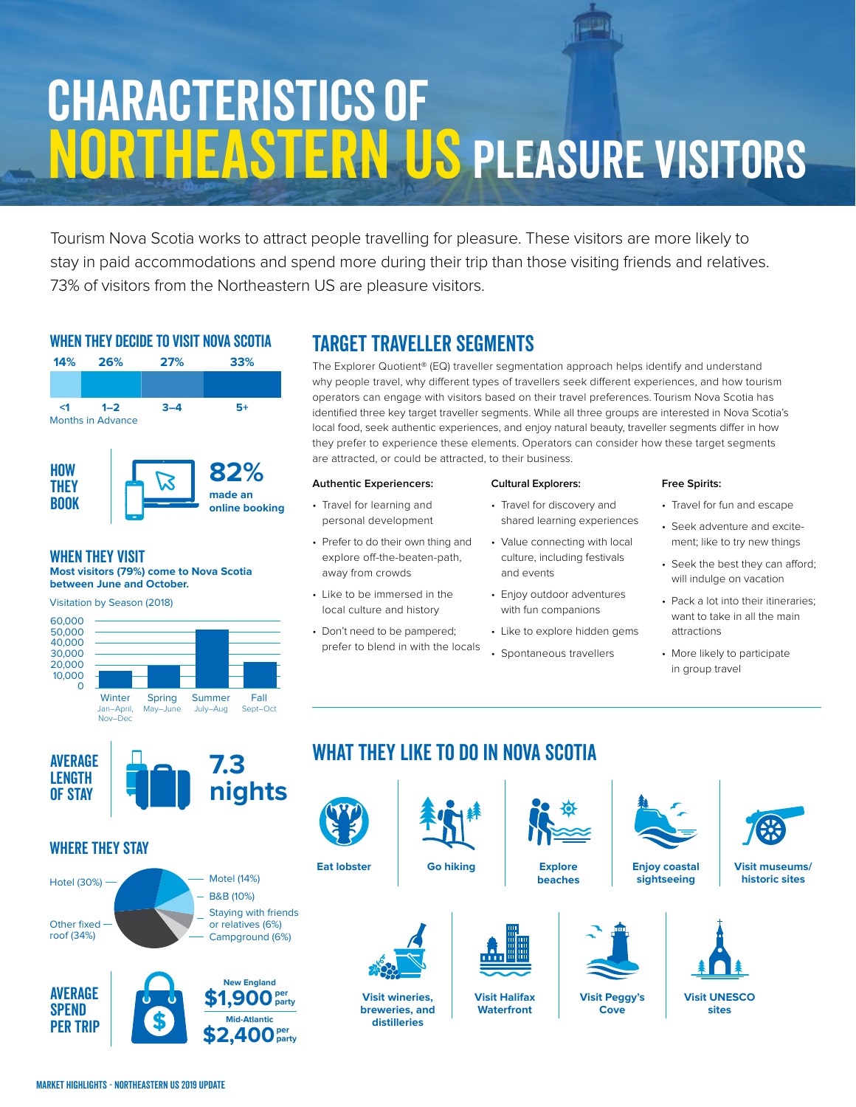# Characteristics of Northeastern US Pleasure Visitors

Tourism Nova Scotia works to attract people travelling for pleasure. These visitors are more likely to stay in paid accommodations and spend more during their trip than those visiting friends and relatives. 73% of visitors from the Northeastern US are pleasure visitors.

### WHEN THEY DECIDE TO VISIT NOVA SCOTIA



### When they Visit **Most visitors (79%) come to Nova Scotia**

**between June and October.**



## TARGET TRAVELLER SEGMENTS

The Explorer Quotient® (EQ) traveller segmentation approach helps identify and understand why people travel, why different types of travellers seek different experiences, and how tourism operators can engage with visitors based on their travel preferences. Tourism Nova Scotia has identified three key target traveller segments. While all three groups are interested in Nova Scotia's local food, seek authentic experiences, and enjoy natural beauty, traveller segments differ in how they prefer to experience these elements. Operators can consider how these target segments are attracted, or could be attracted, to their business.

#### **Authentic Experiencers:**

- Travel for learning and personal development
- Prefer to do their own thing and explore off-the-beaten-path, away from crowds
- Like to be immersed in the local culture and history
- Don't need to be pampered; prefer to blend in with the locals

### **Cultural Explorers:**

- Travel for discovery and shared learning experiences
- Value connecting with local culture, including festivals and events
- Enjoy outdoor adventures with fun companions
- Like to explore hidden gems
- Spontaneous travellers

#### **Free Spirits:**

- Travel for fun and escape
- Seek adventure and excitement; like to try new things
- Seek the best they can afford; will indulge on vacation
- Pack a lot into their itineraries; want to take in all the main attractions
- More likely to participate in group travel



### Where they Stay

**AVERAGE SPEND** Per Trip





## WHAT THEY LIKE TO DO IN NOVA SCOTIA

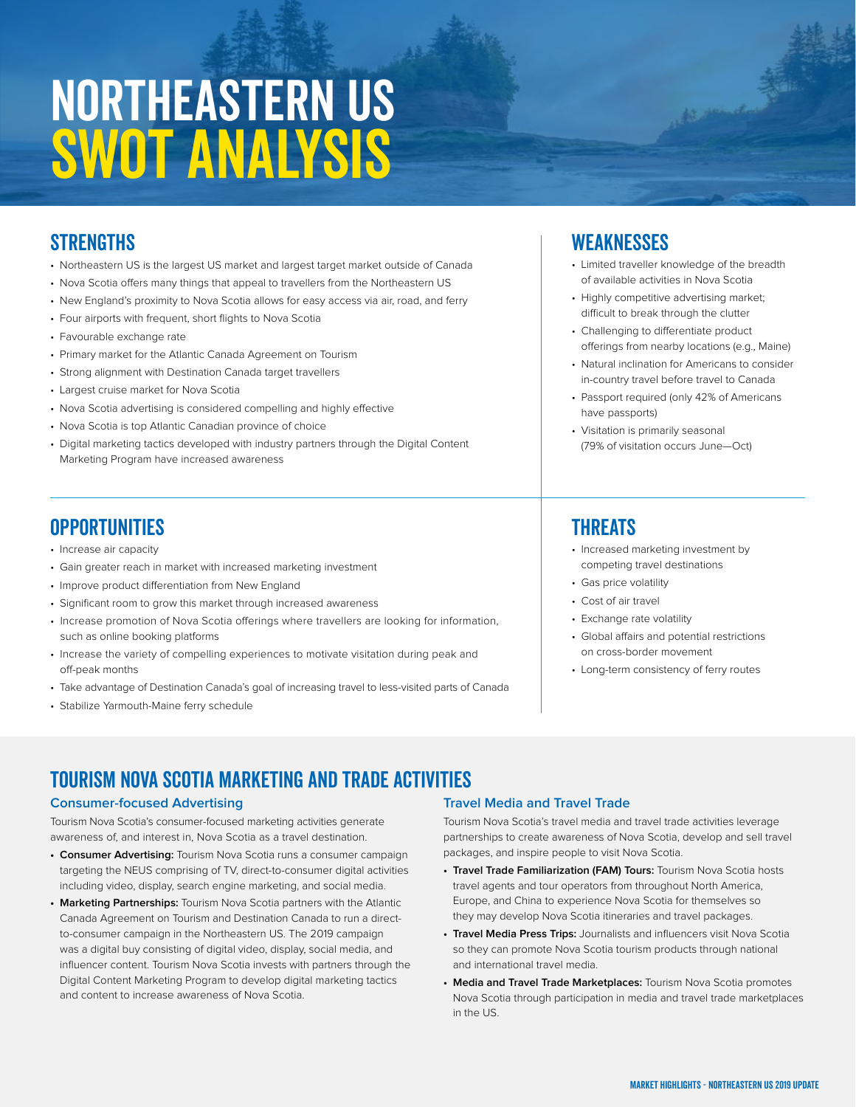## Northeastern US SWOT ANALYSIS

### **STRENGTHS**

- Northeastern US is the largest US market and largest target market outside of Canada
- Nova Scotia offers many things that appeal to travellers from the Northeastern US
- New England's proximity to Nova Scotia allows for easy access via air, road, and ferry
- Four airports with frequent, short flights to Nova Scotia
- Favourable exchange rate
- Primary market for the Atlantic Canada Agreement on Tourism
- Strong alignment with Destination Canada target travellers
- Largest cruise market for Nova Scotia
- Nova Scotia advertising is considered compelling and highly effective
- Nova Scotia is top Atlantic Canadian province of choice
- Digital marketing tactics developed with industry partners through the Digital Content Marketing Program have increased awareness

### **OPPORTUNITIES**

- Increase air capacity
- Gain greater reach in market with increased marketing investment
- Improve product differentiation from New England
- Significant room to grow this market through increased awareness
- Increase promotion of Nova Scotia offerings where travellers are looking for information, such as online booking platforms
- Increase the variety of compelling experiences to motivate visitation during peak and off-peak months
- Take advantage of Destination Canada's goal of increasing travel to less-visited parts of Canada
- Stabilize Yarmouth-Maine ferry schedule

### Weaknesses

- Limited traveller knowledge of the breadth of available activities in Nova Scotia
- Highly competitive advertising market; difficult to break through the clutter
- Challenging to differentiate product offerings from nearby locations (e.g., Maine)
- Natural inclination for Americans to consider in-country travel before travel to Canada
- Passport required (only 42% of Americans have passports)
- Visitation is primarily seasonal (79% of visitation occurs June—Oct)

### **THREATS**

- Increased marketing investment by competing travel destinations
- Gas price volatility
- Cost of air travel
- Exchange rate volatility
- Global affairs and potential restrictions on cross-border movement
- Long-term consistency of ferry routes

### TOURISM NOVA SCOTIA MARKETING and Trade ACTIVITIES

#### **Consumer-focused Advertising**

Tourism Nova Scotia's consumer-focused marketing activities generate awareness of, and interest in, Nova Scotia as a travel destination.

- **Consumer Advertising:** Tourism Nova Scotia runs a consumer campaign targeting the NEUS comprising of TV, direct-to-consumer digital activities including video, display, search engine marketing, and social media.
- **Marketing Partnerships:** Tourism Nova Scotia partners with the Atlantic Canada Agreement on Tourism and Destination Canada to run a directto-consumer campaign in the Northeastern US. The 2019 campaign was a digital buy consisting of digital video, display, social media, and influencer content. Tourism Nova Scotia invests with partners through the Digital Content Marketing Program to develop digital marketing tactics and content to increase awareness of Nova Scotia.

### **Travel Media and Travel Trade**

Tourism Nova Scotia's travel media and travel trade activities leverage partnerships to create awareness of Nova Scotia, develop and sell travel packages, and inspire people to visit Nova Scotia.

- **Travel Trade Familiarization (FAM) Tours:** Tourism Nova Scotia hosts travel agents and tour operators from throughout North America, Europe, and China to experience Nova Scotia for themselves so they may develop Nova Scotia itineraries and travel packages.
- **Travel Media Press Trips:** Journalists and influencers visit Nova Scotia so they can promote Nova Scotia tourism products through national and international travel media.
- **Media and Travel Trade Marketplaces:** Tourism Nova Scotia promotes Nova Scotia through participation in media and travel trade marketplaces in the US.